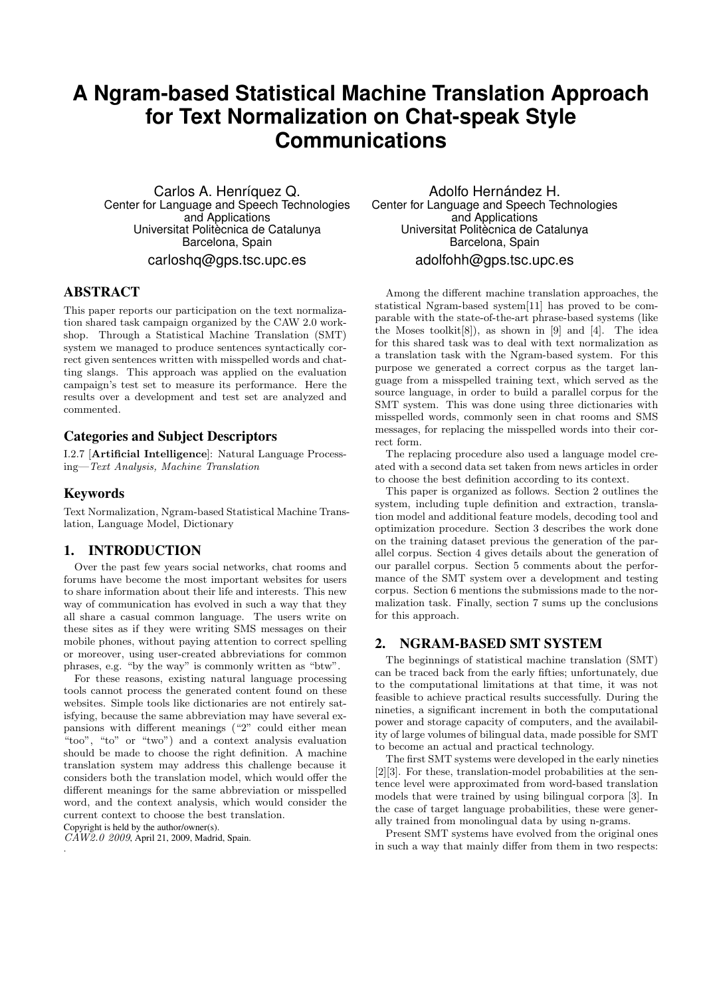# **A Ngram-based Statistical Machine Translation Approach for Text Normalization on Chat-speak Style Communications**

Carlos A. Henríquez Q. Center for Language and Speech Technologies and Applications Universitat Politecnica de Catalunya Barcelona, Spain carloshq@gps.tsc.upc.es

# ABSTRACT

This paper reports our participation on the text normalization shared task campaign organized by the CAW 2.0 workshop. Through a Statistical Machine Translation (SMT) system we managed to produce sentences syntactically correct given sentences written with misspelled words and chatting slangs. This approach was applied on the evaluation campaign's test set to measure its performance. Here the results over a development and test set are analyzed and commented.

# Categories and Subject Descriptors

I.2.7 [Artificial Intelligence]: Natural Language Processing—Text Analysis, Machine Translation

## Keywords

Text Normalization, Ngram-based Statistical Machine Translation, Language Model, Dictionary

## 1. INTRODUCTION

Over the past few years social networks, chat rooms and forums have become the most important websites for users to share information about their life and interests. This new way of communication has evolved in such a way that they all share a casual common language. The users write on these sites as if they were writing SMS messages on their mobile phones, without paying attention to correct spelling or moreover, using user-created abbreviations for common phrases, e.g. "by the way" is commonly written as "btw".

For these reasons, existing natural language processing tools cannot process the generated content found on these websites. Simple tools like dictionaries are not entirely satisfying, because the same abbreviation may have several expansions with different meanings ("2" could either mean "too", "to" or "two") and a context analysis evaluation should be made to choose the right definition. A machine translation system may address this challenge because it considers both the translation model, which would offer the different meanings for the same abbreviation or misspelled word, and the context analysis, which would consider the current context to choose the best translation.

Copyright is held by the author/owner(s).

.

 $C\ddot{A}W\ddot{2}.0$  2009, April 21, 2009, Madrid, Spain.

Adolfo Hernández H. Center for Language and Speech Technologies and Applications Universitat Politecnica de Catalunya Barcelona, Spain adolfohh@gps.tsc.upc.es

Among the different machine translation approaches, the statistical Ngram-based system[11] has proved to be comparable with the state-of-the-art phrase-based systems (like the Moses toolkit[8]), as shown in [9] and [4]. The idea for this shared task was to deal with text normalization as a translation task with the Ngram-based system. For this purpose we generated a correct corpus as the target language from a misspelled training text, which served as the source language, in order to build a parallel corpus for the SMT system. This was done using three dictionaries with misspelled words, commonly seen in chat rooms and SMS messages, for replacing the misspelled words into their correct form.

The replacing procedure also used a language model created with a second data set taken from news articles in order to choose the best definition according to its context.

This paper is organized as follows. Section 2 outlines the system, including tuple definition and extraction, translation model and additional feature models, decoding tool and optimization procedure. Section 3 describes the work done on the training dataset previous the generation of the parallel corpus. Section 4 gives details about the generation of our parallel corpus. Section 5 comments about the performance of the SMT system over a development and testing corpus. Section 6 mentions the submissions made to the normalization task. Finally, section 7 sums up the conclusions for this approach.

# 2. NGRAM-BASED SMT SYSTEM

The beginnings of statistical machine translation (SMT) can be traced back from the early fifties; unfortunately, due to the computational limitations at that time, it was not feasible to achieve practical results successfully. During the nineties, a significant increment in both the computational power and storage capacity of computers, and the availability of large volumes of bilingual data, made possible for SMT to become an actual and practical technology.

The first SMT systems were developed in the early nineties [2][3]. For these, translation-model probabilities at the sentence level were approximated from word-based translation models that were trained by using bilingual corpora [3]. In the case of target language probabilities, these were generally trained from monolingual data by using n-grams.

Present SMT systems have evolved from the original ones in such a way that mainly differ from them in two respects: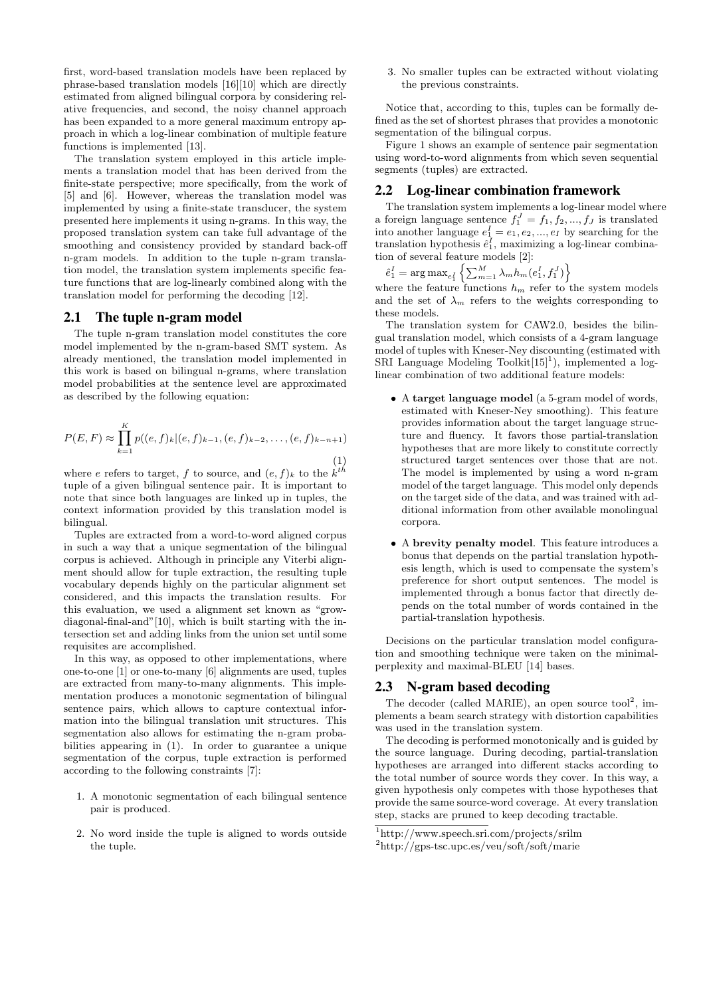first, word-based translation models have been replaced by phrase-based translation models [16][10] which are directly estimated from aligned bilingual corpora by considering relative frequencies, and second, the noisy channel approach has been expanded to a more general maximum entropy approach in which a log-linear combination of multiple feature functions is implemented [13].

The translation system employed in this article implements a translation model that has been derived from the finite-state perspective; more specifically, from the work of [5] and [6]. However, whereas the translation model was implemented by using a finite-state transducer, the system presented here implements it using n-grams. In this way, the proposed translation system can take full advantage of the smoothing and consistency provided by standard back-off n-gram models. In addition to the tuple n-gram translation model, the translation system implements specific feature functions that are log-linearly combined along with the translation model for performing the decoding [12].

#### 2.1 The tuple n-gram model

The tuple n-gram translation model constitutes the core model implemented by the n-gram-based SMT system. As already mentioned, the translation model implemented in this work is based on bilingual n-grams, where translation model probabilities at the sentence level are approximated as described by the following equation:

$$
P(E, F) \approx \prod_{k=1}^{K} p((e, f)_k | (e, f)_{k-1}, (e, f)_{k-2}, \dots, (e, f)_{k-n+1})
$$
\n(1)

where e refers to target, f to source, and  $(e, f)_k$  to the  $k^{th}$ tuple of a given bilingual sentence pair. It is important to note that since both languages are linked up in tuples, the context information provided by this translation model is bilingual.

Tuples are extracted from a word-to-word aligned corpus in such a way that a unique segmentation of the bilingual corpus is achieved. Although in principle any Viterbi alignment should allow for tuple extraction, the resulting tuple vocabulary depends highly on the particular alignment set considered, and this impacts the translation results. For this evaluation, we used a alignment set known as "growdiagonal-final-and"[10], which is built starting with the intersection set and adding links from the union set until some requisites are accomplished.

In this way, as opposed to other implementations, where one-to-one [1] or one-to-many [6] alignments are used, tuples are extracted from many-to-many alignments. This implementation produces a monotonic segmentation of bilingual sentence pairs, which allows to capture contextual information into the bilingual translation unit structures. This segmentation also allows for estimating the n-gram probabilities appearing in (1). In order to guarantee a unique segmentation of the corpus, tuple extraction is performed according to the following constraints [7]:

- 1. A monotonic segmentation of each bilingual sentence pair is produced.
- 2. No word inside the tuple is aligned to words outside the tuple.

3. No smaller tuples can be extracted without violating the previous constraints.

Notice that, according to this, tuples can be formally defined as the set of shortest phrases that provides a monotonic segmentation of the bilingual corpus.

Figure 1 shows an example of sentence pair segmentation using word-to-word alignments from which seven sequential segments (tuples) are extracted.

#### 2.2 Log-linear combination framework

The translation system implements a log-linear model where a foreign language sentence  $f_1^J = f_1, f_2, ..., f_J$  is translated into another language  $e_1^I = e_1, e_2, ..., e_I$  by searching for the translation hypothesis  $\hat{e}_1^I$ , maximizing a log-linear combination of several feature models [2]:

 $\hat{e}_1^I = \argmax_{e_1^I} \left\{ \sum_{m=1}^M \lambda_m h_m(e_1^I, f_1^J) \right\}$ 

where the feature functions  $h_m$  refer to the system models and the set of  $\lambda_m$  refers to the weights corresponding to these models.

The translation system for CAW2.0, besides the bilingual translation model, which consists of a 4-gram language model of tuples with Kneser-Ney discounting (estimated with SRI Language Modeling Toolkit $[15]$ <sup>1</sup>), implemented a loglinear combination of two additional feature models:

- A target language model (a 5-gram model of words, estimated with Kneser-Ney smoothing). This feature provides information about the target language structure and fluency. It favors those partial-translation hypotheses that are more likely to constitute correctly structured target sentences over those that are not. The model is implemented by using a word n-gram model of the target language. This model only depends on the target side of the data, and was trained with additional information from other available monolingual corpora.
- A brevity penalty model. This feature introduces a bonus that depends on the partial translation hypothesis length, which is used to compensate the system's preference for short output sentences. The model is implemented through a bonus factor that directly depends on the total number of words contained in the partial-translation hypothesis.

Decisions on the particular translation model configuration and smoothing technique were taken on the minimalperplexity and maximal-BLEU [14] bases.

#### 2.3 N-gram based decoding

The decoder (called MARIE), an open source tool<sup>2</sup>, implements a beam search strategy with distortion capabilities was used in the translation system.

The decoding is performed monotonically and is guided by the source language. During decoding, partial-translation hypotheses are arranged into different stacks according to the total number of source words they cover. In this way, a given hypothesis only competes with those hypotheses that provide the same source-word coverage. At every translation step, stacks are pruned to keep decoding tractable.

<sup>1</sup>http://www.speech.sri.com/projects/srilm

<sup>2</sup>http://gps-tsc.upc.es/veu/soft/soft/marie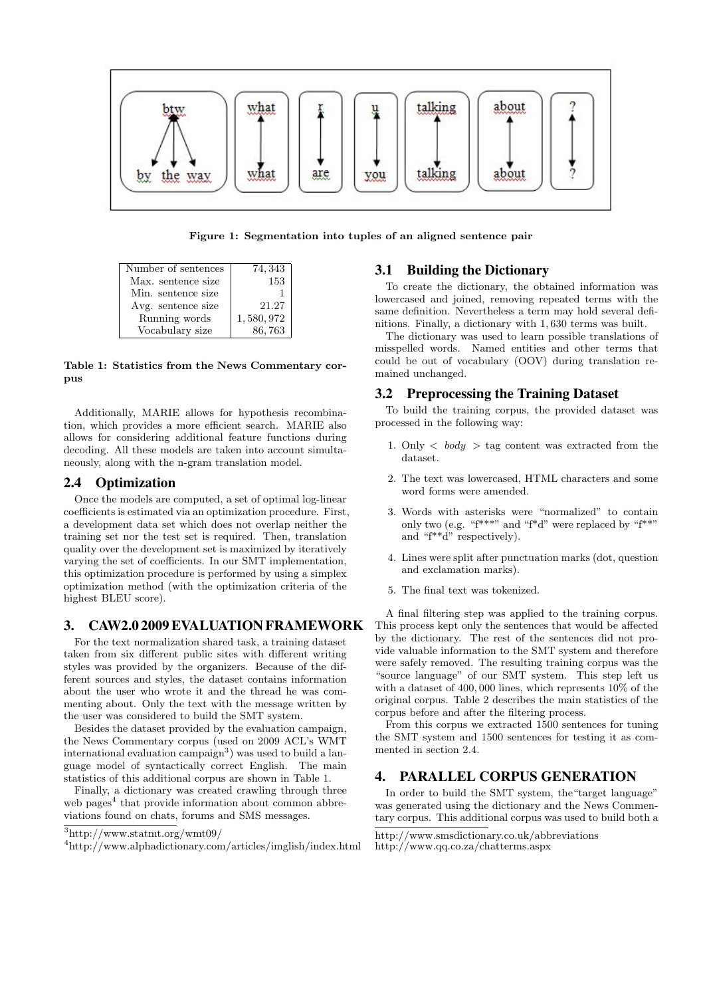

Figure 1: Segmentation into tuples of an aligned sentence pair

| Number of sentences | 74, 343   |
|---------------------|-----------|
| Max. sentence size  | 153       |
| Min. sentence size. |           |
| Avg. sentence size  | 21.27     |
| Running words       | 1,580,972 |
| Vocabulary size     | 86,763    |

Table 1: Statistics from the News Commentary corpus

Additionally, MARIE allows for hypothesis recombination, which provides a more efficient search. MARIE also allows for considering additional feature functions during decoding. All these models are taken into account simultaneously, along with the n-gram translation model.

#### 2.4 Optimization

Once the models are computed, a set of optimal log-linear coefficients is estimated via an optimization procedure. First, a development data set which does not overlap neither the training set nor the test set is required. Then, translation quality over the development set is maximized by iteratively varying the set of coefficients. In our SMT implementation, this optimization procedure is performed by using a simplex optimization method (with the optimization criteria of the highest BLEU score).

## 3. CAW2.0 2009 EVALUATION FRAMEWORK

For the text normalization shared task, a training dataset taken from six different public sites with different writing styles was provided by the organizers. Because of the different sources and styles, the dataset contains information about the user who wrote it and the thread he was commenting about. Only the text with the message written by the user was considered to build the SMT system.

Besides the dataset provided by the evaluation campaign, the News Commentary corpus (used on 2009 ACL's WMT international evaluation campaign<sup>3</sup>) was used to build a language model of syntactically correct English. The main statistics of this additional corpus are shown in Table 1.

Finally, a dictionary was created crawling through three web pages<sup>4</sup> that provide information about common abbreviations found on chats, forums and SMS messages.

#### 3.1 Building the Dictionary

To create the dictionary, the obtained information was lowercased and joined, removing repeated terms with the same definition. Nevertheless a term may hold several definitions. Finally, a dictionary with 1, 630 terms was built.

The dictionary was used to learn possible translations of misspelled words. Named entities and other terms that could be out of vocabulary (OOV) during translation remained unchanged.

#### 3.2 Preprocessing the Training Dataset

To build the training corpus, the provided dataset was processed in the following way:

- 1. Only  $\langle body \rangle$  tag content was extracted from the dataset.
- 2. The text was lowercased, HTML characters and some word forms were amended.
- 3. Words with asterisks were "normalized" to contain only two (e.g. "f\*\*\*" and "f\*d" were replaced by "f\*\*" and "f\*\*d" respectively).
- 4. Lines were split after punctuation marks (dot, question and exclamation marks).
- 5. The final text was tokenized.

A final filtering step was applied to the training corpus. This process kept only the sentences that would be affected by the dictionary. The rest of the sentences did not provide valuable information to the SMT system and therefore were safely removed. The resulting training corpus was the "source language" of our SMT system. This step left us with a dataset of 400, 000 lines, which represents 10% of the original corpus. Table 2 describes the main statistics of the corpus before and after the filtering process.

From this corpus we extracted 1500 sentences for tuning the SMT system and 1500 sentences for testing it as commented in section 2.4.

## 4. PARALLEL CORPUS GENERATION

In order to build the SMT system, the"target language" was generated using the dictionary and the News Commentary corpus. This additional corpus was used to build both a

<sup>3</sup>http://www.statmt.org/wmt09/

<sup>4</sup>http://www.alphadictionary.com/articles/imglish/index.html

http://www.smsdictionary.co.uk/abbreviations http://www.qq.co.za/chatterms.aspx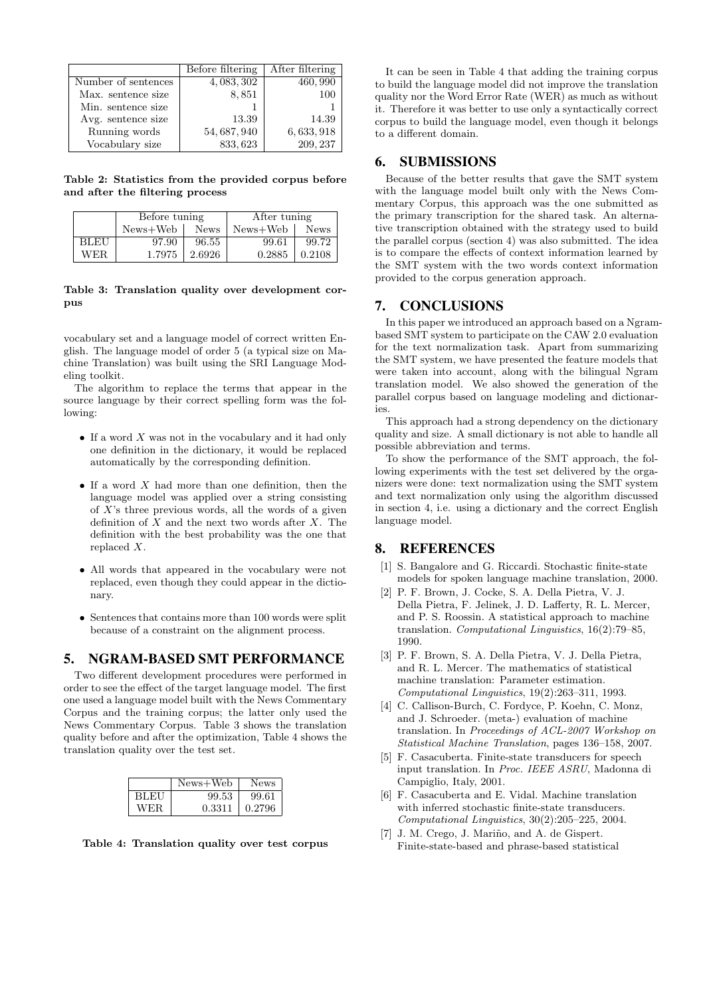|                     | Before filtering | After filtering |  |  |  |
|---------------------|------------------|-----------------|--|--|--|
| Number of sentences | 4, 083, 302      | 460, 990        |  |  |  |
| Max. sentence size  | 8,851            | 100             |  |  |  |
| Min. sentence size  |                  |                 |  |  |  |
| Avg. sentence size  | 13.39            | 14.39           |  |  |  |
| Running words       | 54, 687, 940     | 6, 633, 918     |  |  |  |
| Vocabulary size     | 833, 623         | 209, 237        |  |  |  |

Table 2: Statistics from the provided corpus before and after the filtering process

|      | Before tuning |             | After tuning |             |
|------|---------------|-------------|--------------|-------------|
|      | News+Web      | <b>News</b> | $News + Web$ | <b>News</b> |
| BLEU | 97.90         | 96.55       | 99.61        | 99.72       |
| WER. | 1.7975        | 2.6926      | 0.2885       | 0.2108      |

#### Table 3: Translation quality over development corpus

vocabulary set and a language model of correct written English. The language model of order 5 (a typical size on Machine Translation) was built using the SRI Language Modeling toolkit.

The algorithm to replace the terms that appear in the source language by their correct spelling form was the following:

- If a word  $X$  was not in the vocabulary and it had only one definition in the dictionary, it would be replaced automatically by the corresponding definition.
- $\bullet$  If a word X had more than one definition, then the language model was applied over a string consisting of  $X$ 's three previous words, all the words of a given definition of  $X$  and the next two words after  $X$ . The definition with the best probability was the one that replaced X.
- All words that appeared in the vocabulary were not replaced, even though they could appear in the dictionary.
- Sentences that contains more than 100 words were split because of a constraint on the alignment process.

## 5. NGRAM-BASED SMT PERFORMANCE

Two different development procedures were performed in order to see the effect of the target language model. The first one used a language model built with the News Commentary Corpus and the training corpus; the latter only used the News Commentary Corpus. Table 3 shows the translation quality before and after the optimization, Table 4 shows the translation quality over the test set.

|      | $News+Web$ | News   |
|------|------------|--------|
| BLEU | 99.53      | 99.61  |
| WER. | 0.3311     | 0.2796 |



It can be seen in Table 4 that adding the training corpus to build the language model did not improve the translation quality nor the Word Error Rate (WER) as much as without it. Therefore it was better to use only a syntactically correct corpus to build the language model, even though it belongs to a different domain.

## 6. SUBMISSIONS

Because of the better results that gave the SMT system with the language model built only with the News Commentary Corpus, this approach was the one submitted as the primary transcription for the shared task. An alternative transcription obtained with the strategy used to build the parallel corpus (section 4) was also submitted. The idea is to compare the effects of context information learned by the SMT system with the two words context information provided to the corpus generation approach.

# 7. CONCLUSIONS

In this paper we introduced an approach based on a Ngrambased SMT system to participate on the CAW 2.0 evaluation for the text normalization task. Apart from summarizing the SMT system, we have presented the feature models that were taken into account, along with the bilingual Ngram translation model. We also showed the generation of the parallel corpus based on language modeling and dictionaries.

This approach had a strong dependency on the dictionary quality and size. A small dictionary is not able to handle all possible abbreviation and terms.

To show the performance of the SMT approach, the following experiments with the test set delivered by the organizers were done: text normalization using the SMT system and text normalization only using the algorithm discussed in section 4, i.e. using a dictionary and the correct English language model.

## 8. REFERENCES

- [1] S. Bangalore and G. Riccardi. Stochastic finite-state models for spoken language machine translation, 2000.
- [2] P. F. Brown, J. Cocke, S. A. Della Pietra, V. J. Della Pietra, F. Jelinek, J. D. Lafferty, R. L. Mercer, and P. S. Roossin. A statistical approach to machine translation. Computational Linguistics, 16(2):79–85, 1990.
- [3] P. F. Brown, S. A. Della Pietra, V. J. Della Pietra, and R. L. Mercer. The mathematics of statistical machine translation: Parameter estimation. Computational Linguistics, 19(2):263–311, 1993.
- [4] C. Callison-Burch, C. Fordyce, P. Koehn, C. Monz, and J. Schroeder. (meta-) evaluation of machine translation. In Proceedings of ACL-2007 Workshop on Statistical Machine Translation, pages 136–158, 2007.
- [5] F. Casacuberta. Finite-state transducers for speech input translation. In Proc. IEEE ASRU, Madonna di Campiglio, Italy, 2001.
- [6] F. Casacuberta and E. Vidal. Machine translation with inferred stochastic finite-state transducers. Computational Linguistics, 30(2):205–225, 2004.
- [7] J. M. Crego, J. Mariño, and A. de Gispert. Finite-state-based and phrase-based statistical